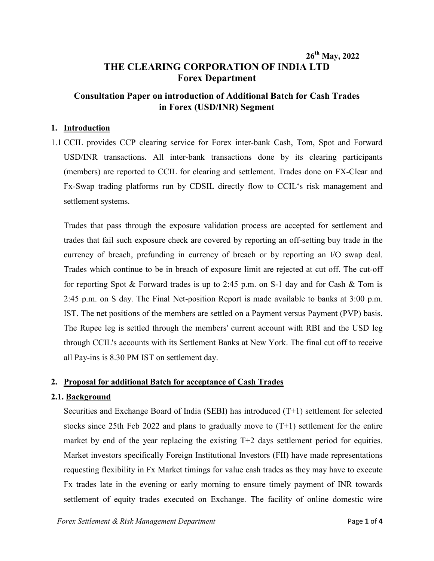# **26th May, 2022 THE CLEARING CORPORATION OF INDIA LTD Forex Department**

## **Consultation Paper on introduction of Additional Batch for Cash Trades in Forex (USD/INR) Segment**

#### **1. Introduction**

1.1 CCIL provides CCP clearing service for Forex inter-bank Cash, Tom, Spot and Forward USD/INR transactions. All inter-bank transactions done by its clearing participants (members) are reported to CCIL for clearing and settlement. Trades done on FX-Clear and Fx-Swap trading platforms run by CDSIL directly flow to CCIL's risk management and settlement systems.

Trades that pass through the exposure validation process are accepted for settlement and trades that fail such exposure check are covered by reporting an off-setting buy trade in the currency of breach, prefunding in currency of breach or by reporting an I/O swap deal. Trades which continue to be in breach of exposure limit are rejected at cut off. The cut-off for reporting Spot & Forward trades is up to 2:45 p.m. on S-1 day and for Cash & Tom is 2:45 p.m. on S day. The Final Net-position Report is made available to banks at 3:00 p.m. IST. The net positions of the members are settled on a Payment versus Payment (PVP) basis. The Rupee leg is settled through the members' current account with RBI and the USD leg through CCIL's accounts with its Settlement Banks at New York. The final cut off to receive all Pay-ins is 8.30 PM IST on settlement day.

### **2. Proposal for additional Batch for acceptance of Cash Trades**

#### **2.1. Background**

Securities and Exchange Board of India (SEBI) has introduced (T+1) settlement for selected stocks since 25th Feb 2022 and plans to gradually move to  $(T+1)$  settlement for the entire market by end of the year replacing the existing T+2 days settlement period for equities. Market investors specifically Foreign Institutional Investors (FII) have made representations requesting flexibility in Fx Market timings for value cash trades as they may have to execute Fx trades late in the evening or early morning to ensure timely payment of INR towards settlement of equity trades executed on Exchange. The facility of online domestic wire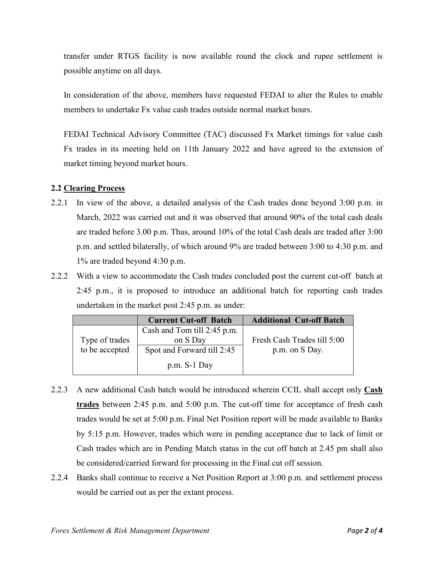transfer under RTGS facility is now available round the clock and rupee settlement is possible anytime on all days.

In consideration of the above, members have requested FEDAI to alter the Rules to enable members to undertake Fx value cash trades outside normal market hours.

FEDAI Technical Advisory Committee (TAC) discussed Fx Market timings for value cash Fx trades in its meeting held on 11th January 2022 and have agreed to the extension of market timing beyond market hours.

#### **2.2 Clearing Process**

- 2.2.1 In view of the above, a detailed analysis of the Cash trades done beyond 3:00 p.m. in March, 2022 was carried out and it was observed that around 90% of the total cash deals are traded before 3.00 p.m. Thus, around 10% of the total Cash deals are traded after 3:00 p.m. and settled bilaterally, of which around 9% are traded between 3:00 to 4:30 p.m. and 1% are traded beyond 4:30 p.m.
- 2.2.2 With a view to accommodate the Cash trades concluded post the current cut-off batch at 2:45 p.m., it is proposed to introduce an additional batch for reporting cash trades undertaken in the market post 2:45 p.m. as under:

|                | <b>Current Cut-off Batch</b> | <b>Additional Cut-off Batch</b> |
|----------------|------------------------------|---------------------------------|
|                | Cash and Tom till 2:45 p.m.  |                                 |
| Type of trades | on S Day                     | Fresh Cash Trades till 5:00     |
| to be accepted | Spot and Forward till 2:45   | p.m. on S Day.                  |
|                | $p.m. S-1$ Day               |                                 |

- 2.2.3 A new additional Cash batch would be introduced wherein CCIL shall accept only **Cash trades** between 2:45 p.m. and 5:00 p.m. The cut-off time for acceptance of fresh cash trades would be set at 5:00 p.m. Final Net Position report will be made available to Banks by 5:15 p.m. However, trades which were in pending acceptance due to lack of limit or Cash trades which are in Pending Match status in the cut off batch at 2.45 pm shall also be considered/carried forward for processing in the Final cut off session.
- 2.2.4 Banks shall continue to receive a Net Position Report at 3:00 p.m. and settlement process would be carried out as per the extant process.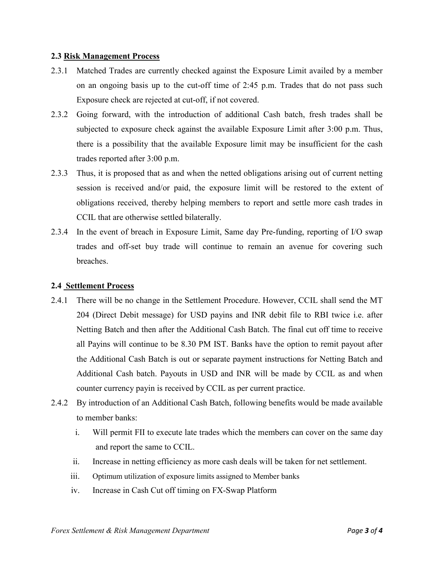#### **2.3 Risk Management Process**

- 2.3.1 Matched Trades are currently checked against the Exposure Limit availed by a member on an ongoing basis up to the cut-off time of 2:45 p.m. Trades that do not pass such Exposure check are rejected at cut-off, if not covered.
- 2.3.2 Going forward, with the introduction of additional Cash batch, fresh trades shall be subjected to exposure check against the available Exposure Limit after 3:00 p.m. Thus, there is a possibility that the available Exposure limit may be insufficient for the cash trades reported after 3:00 p.m.
- 2.3.3 Thus, it is proposed that as and when the netted obligations arising out of current netting session is received and/or paid, the exposure limit will be restored to the extent of obligations received, thereby helping members to report and settle more cash trades in CCIL that are otherwise settled bilaterally.
- 2.3.4 In the event of breach in Exposure Limit, Same day Pre-funding, reporting of I/O swap trades and off-set buy trade will continue to remain an avenue for covering such breaches.

#### **2.4 Settlement Process**

- 2.4.1 There will be no change in the Settlement Procedure. However, CCIL shall send the MT 204 (Direct Debit message) for USD payins and INR debit file to RBI twice i.e. after Netting Batch and then after the Additional Cash Batch. The final cut off time to receive all Payins will continue to be 8.30 PM IST. Banks have the option to remit payout after the Additional Cash Batch is out or separate payment instructions for Netting Batch and Additional Cash batch. Payouts in USD and INR will be made by CCIL as and when counter currency payin is received by CCIL as per current practice.
- 2.4.2 By introduction of an Additional Cash Batch, following benefits would be made available to member banks:
	- i. Will permit FII to execute late trades which the members can cover on the same day and report the same to CCIL.
	- ii. Increase in netting efficiency as more cash deals will be taken for net settlement.
	- iii. Optimum utilization of exposure limits assigned to Member banks
	- iv. Increase in Cash Cut off timing on FX-Swap Platform